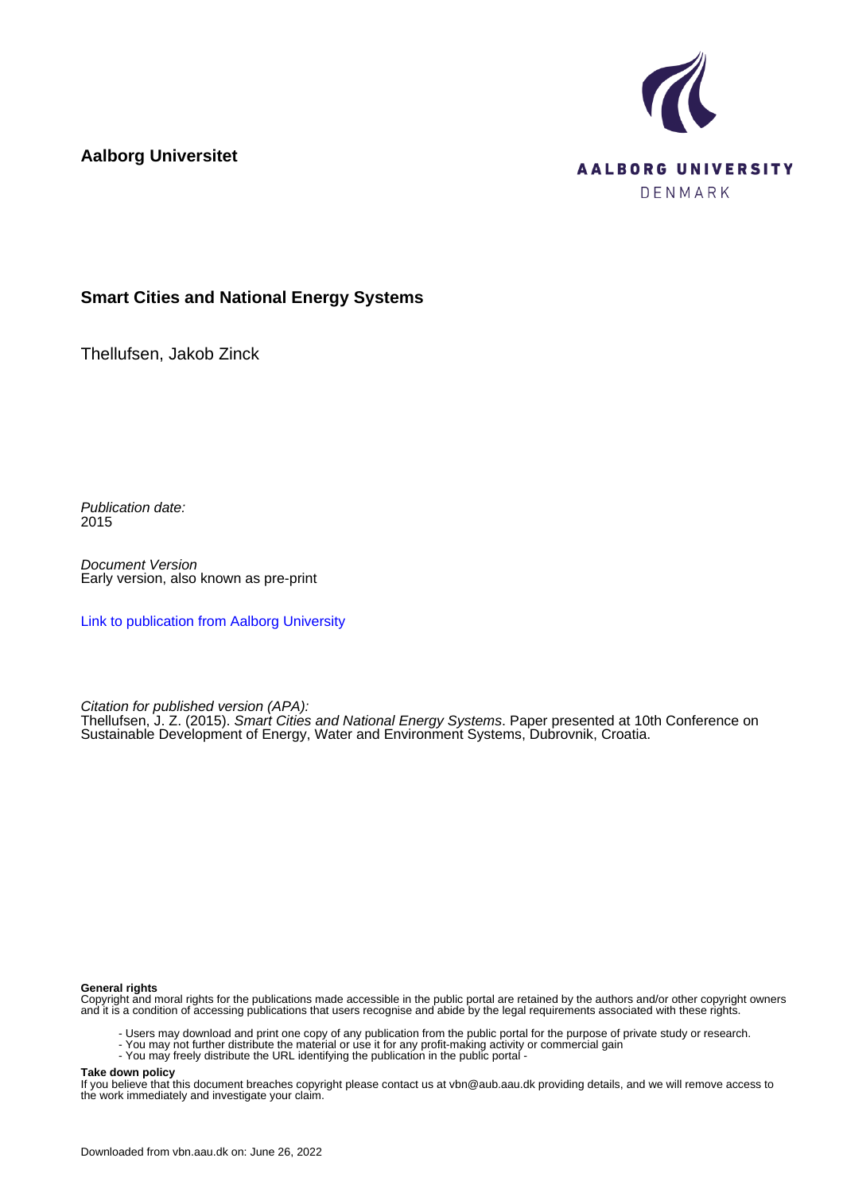

**Aalborg Universitet**

## **Smart Cities and National Energy Systems**

Thellufsen, Jakob Zinck

Publication date: 2015

Document Version Early version, also known as pre-print

[Link to publication from Aalborg University](https://vbn.aau.dk/en/publications/04e59222-44ae-4fa9-a908-a7b6b890f2bf)

Citation for published version (APA):

Thellufsen, J. Z. (2015). Smart Cities and National Energy Systems. Paper presented at 10th Conference on Sustainable Development of Energy, Water and Environment Systems, Dubrovnik, Croatia.

#### **General rights**

Copyright and moral rights for the publications made accessible in the public portal are retained by the authors and/or other copyright owners and it is a condition of accessing publications that users recognise and abide by the legal requirements associated with these rights.

- Users may download and print one copy of any publication from the public portal for the purpose of private study or research.
- You may not further distribute the material or use it for any profit-making activity or commercial gain
- You may freely distribute the URL identifying the publication in the public portal -

#### **Take down policy**

If you believe that this document breaches copyright please contact us at vbn@aub.aau.dk providing details, and we will remove access to the work immediately and investigate your claim.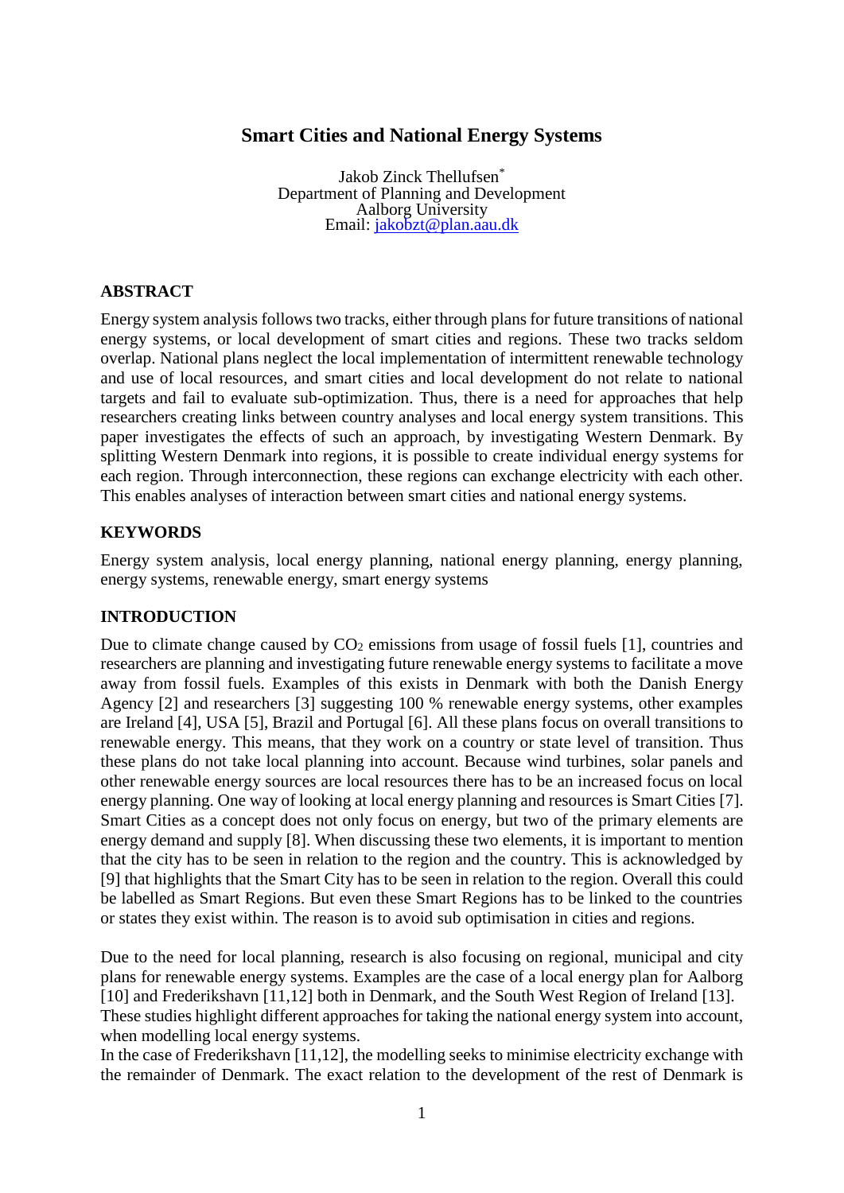# **Smart Cities and National Energy Systems**

Jakob Zinck Thellufsen\* Department of Planning and Development Aalborg University Email: <u>jakobzt@plan.aau.dk</u>

### **ABSTRACT**

Energy system analysis followstwo tracks, either through plans for future transitions of national energy systems, or local development of smart cities and regions. These two tracks seldom overlap. National plans neglect the local implementation of intermittent renewable technology and use of local resources, and smart cities and local development do not relate to national targets and fail to evaluate sub-optimization. Thus, there is a need for approaches that help researchers creating links between country analyses and local energy system transitions. This paper investigates the effects of such an approach, by investigating Western Denmark. By splitting Western Denmark into regions, it is possible to create individual energy systems for each region. Through interconnection, these regions can exchange electricity with each other. This enables analyses of interaction between smart cities and national energy systems.

## **KEYWORDS**

Energy system analysis, local energy planning, national energy planning, energy planning, energy systems, renewable energy, smart energy systems

### **INTRODUCTION**

Due to climate change caused by  $CO<sub>2</sub>$  emissions from usage of fossil fuels [1], countries and researchers are planning and investigating future renewable energy systems to facilitate a move away from fossil fuels. Examples of this exists in Denmark with both the Danish Energy Agency [2] and researchers [3] suggesting 100 % renewable energy systems, other examples are Ireland [4], USA [5], Brazil and Portugal [6]. All these plans focus on overall transitions to renewable energy. This means, that they work on a country or state level of transition. Thus these plans do not take local planning into account. Because wind turbines, solar panels and other renewable energy sources are local resources there has to be an increased focus on local energy planning. One way of looking at local energy planning and resources is Smart Cities [7]. Smart Cities as a concept does not only focus on energy, but two of the primary elements are energy demand and supply [8]. When discussing these two elements, it is important to mention that the city has to be seen in relation to the region and the country. This is acknowledged by [9] that highlights that the Smart City has to be seen in relation to the region. Overall this could be labelled as Smart Regions. But even these Smart Regions has to be linked to the countries or states they exist within. The reason is to avoid sub optimisation in cities and regions.

Due to the need for local planning, research is also focusing on regional, municipal and city plans for renewable energy systems. Examples are the case of a local energy plan for Aalborg [10] and Frederikshavn [11,12] both in Denmark, and the South West Region of Ireland [13]. These studies highlight different approaches for taking the national energy system into account,

when modelling local energy systems. In the case of Frederikshavn [11,12], the modelling seeks to minimise electricity exchange with the remainder of Denmark. The exact relation to the development of the rest of Denmark is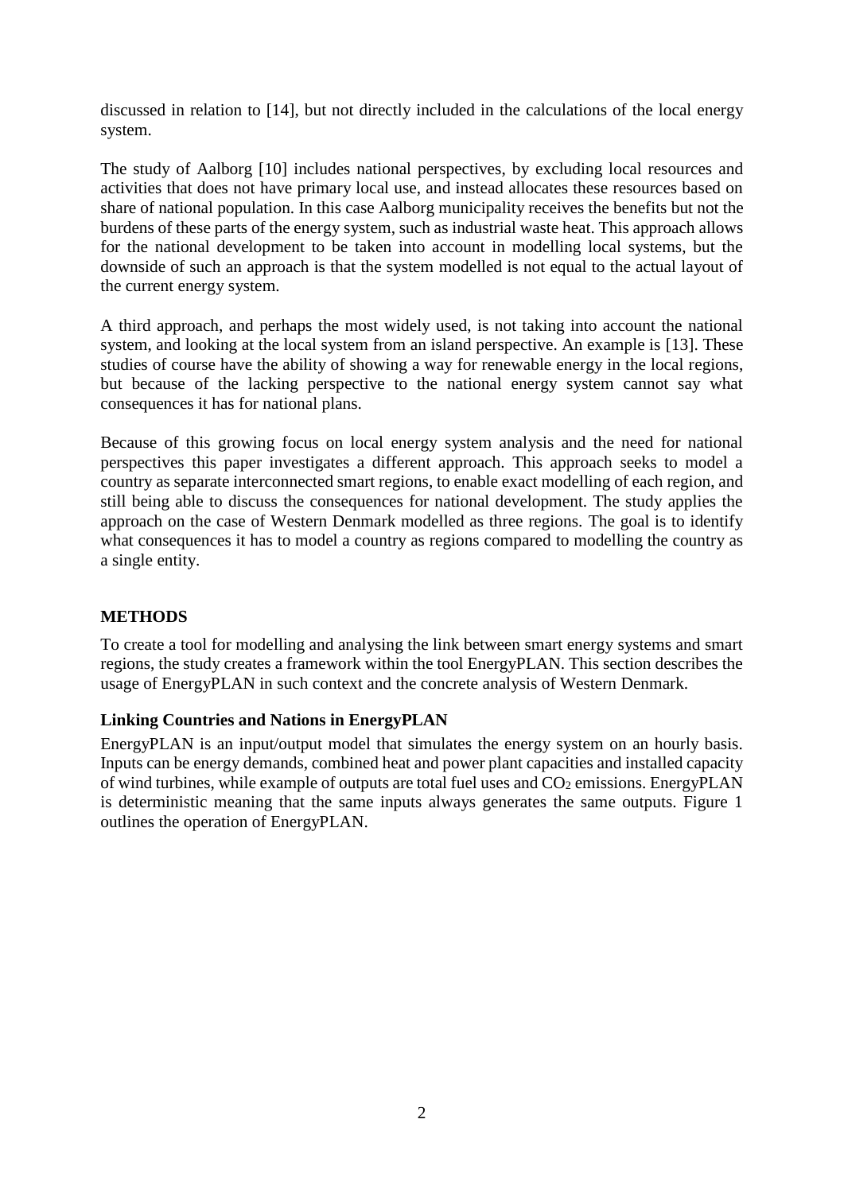discussed in relation to [14], but not directly included in the calculations of the local energy system.

The study of Aalborg [10] includes national perspectives, by excluding local resources and activities that does not have primary local use, and instead allocates these resources based on share of national population. In this case Aalborg municipality receives the benefits but not the burdens of these parts of the energy system, such as industrial waste heat. This approach allows for the national development to be taken into account in modelling local systems, but the downside of such an approach is that the system modelled is not equal to the actual layout of the current energy system.

A third approach, and perhaps the most widely used, is not taking into account the national system, and looking at the local system from an island perspective. An example is [13]. These studies of course have the ability of showing a way for renewable energy in the local regions, but because of the lacking perspective to the national energy system cannot say what consequences it has for national plans.

Because of this growing focus on local energy system analysis and the need for national perspectives this paper investigates a different approach. This approach seeks to model a country as separate interconnected smart regions, to enable exact modelling of each region, and still being able to discuss the consequences for national development. The study applies the approach on the case of Western Denmark modelled as three regions. The goal is to identify what consequences it has to model a country as regions compared to modelling the country as a single entity.

# **METHODS**

To create a tool for modelling and analysing the link between smart energy systems and smart regions, the study creates a framework within the tool EnergyPLAN. This section describes the usage of EnergyPLAN in such context and the concrete analysis of Western Denmark.

## **Linking Countries and Nations in EnergyPLAN**

EnergyPLAN is an input/output model that simulates the energy system on an hourly basis. Inputs can be energy demands, combined heat and power plant capacities and installed capacity of wind turbines, while example of outputs are total fuel uses and  $CO<sub>2</sub>$  emissions. EnergyPLAN is deterministic meaning that the same inputs always generates the same outputs. Figure 1 outlines the operation of EnergyPLAN.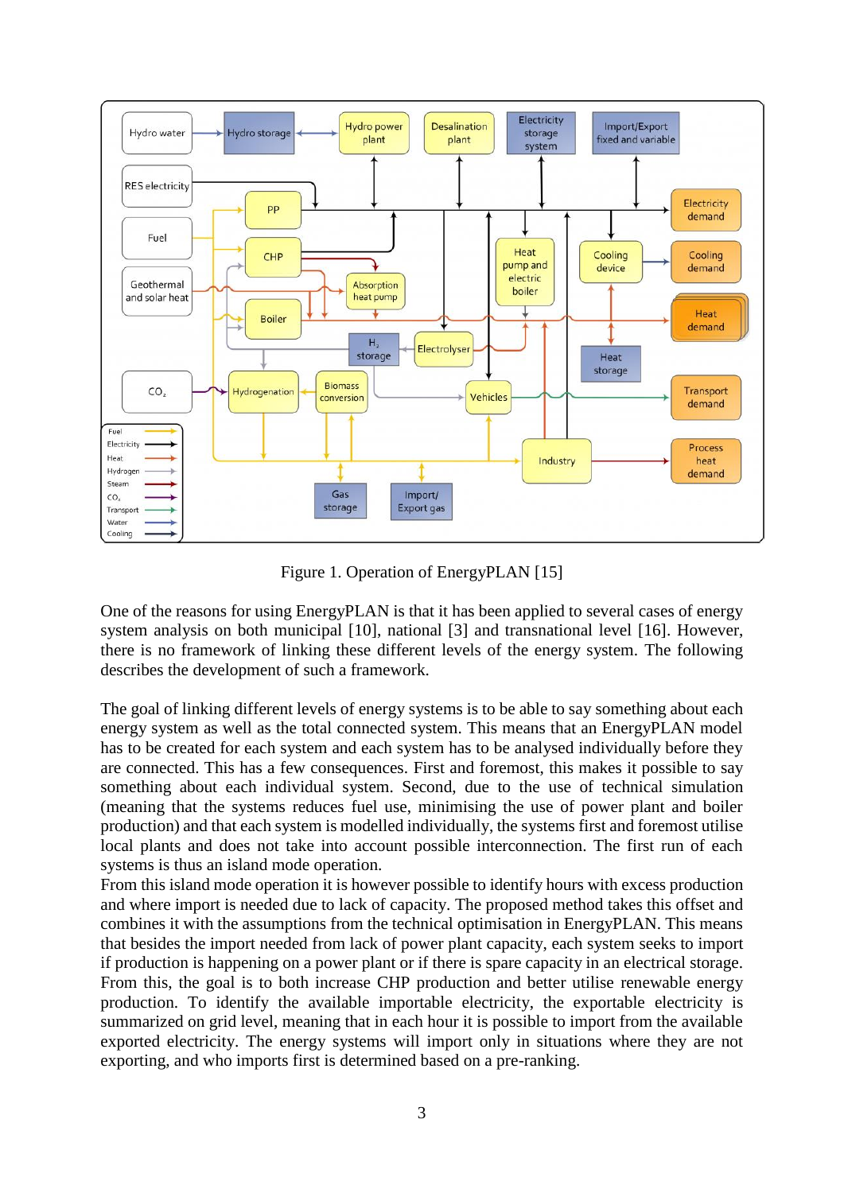

Figure 1. Operation of EnergyPLAN [15]

One of the reasons for using EnergyPLAN is that it has been applied to several cases of energy system analysis on both municipal [10], national [3] and transnational level [16]. However, there is no framework of linking these different levels of the energy system. The following describes the development of such a framework.

The goal of linking different levels of energy systems is to be able to say something about each energy system as well as the total connected system. This means that an EnergyPLAN model has to be created for each system and each system has to be analysed individually before they are connected. This has a few consequences. First and foremost, this makes it possible to say something about each individual system. Second, due to the use of technical simulation (meaning that the systems reduces fuel use, minimising the use of power plant and boiler production) and that each system is modelled individually, the systems first and foremost utilise local plants and does not take into account possible interconnection. The first run of each systems is thus an island mode operation.

From this island mode operation it is however possible to identify hours with excess production and where import is needed due to lack of capacity. The proposed method takes this offset and combines it with the assumptions from the technical optimisation in EnergyPLAN. This means that besides the import needed from lack of power plant capacity, each system seeks to import if production is happening on a power plant or if there is spare capacity in an electrical storage. From this, the goal is to both increase CHP production and better utilise renewable energy production. To identify the available importable electricity, the exportable electricity is summarized on grid level, meaning that in each hour it is possible to import from the available exported electricity. The energy systems will import only in situations where they are not exporting, and who imports first is determined based on a pre-ranking.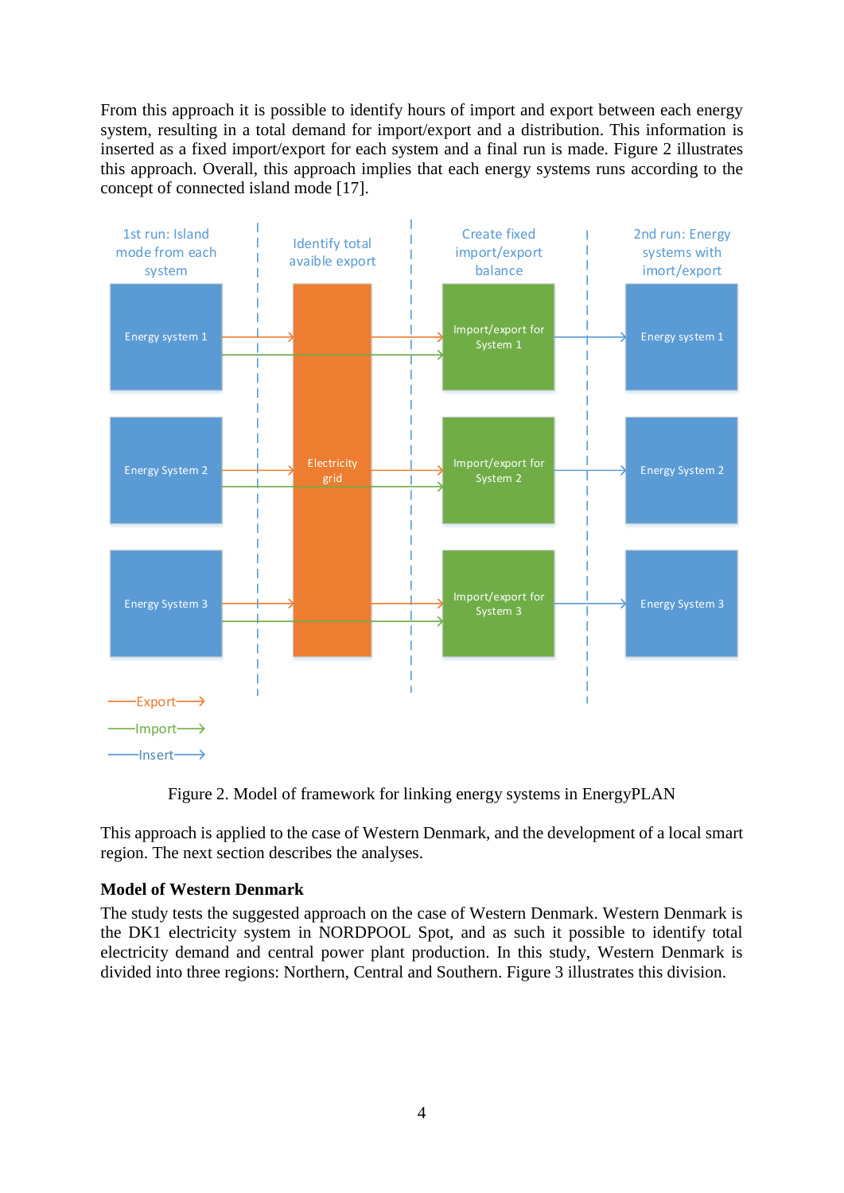From this approach it is possible to identify hours of import and export between each energy system, resulting in a total demand for import/export and a distribution. This information is inserted as a fixed import/export for each system and a final run is made. Figure 2 illustrates this approach. Overall, this approach implies that each energy systems runs according to the concept of connected island mode [17].



Figure 2. Model of framework for linking energy systems in EnergyPLAN

This approach is applied to the case of Western Denmark, and the development of a local smart region. The next section describes the analyses.

## **Model of Western Denmark**

The study tests the suggested approach on the case of Western Denmark. Western Denmark is the DK1 electricity system in NORDPOOL Spot, and as such it possible to identify total electricity demand and central power plant production. In this study, Western Denmark is divided into three regions: Northern, Central and Southern. Figure 3 illustrates this division.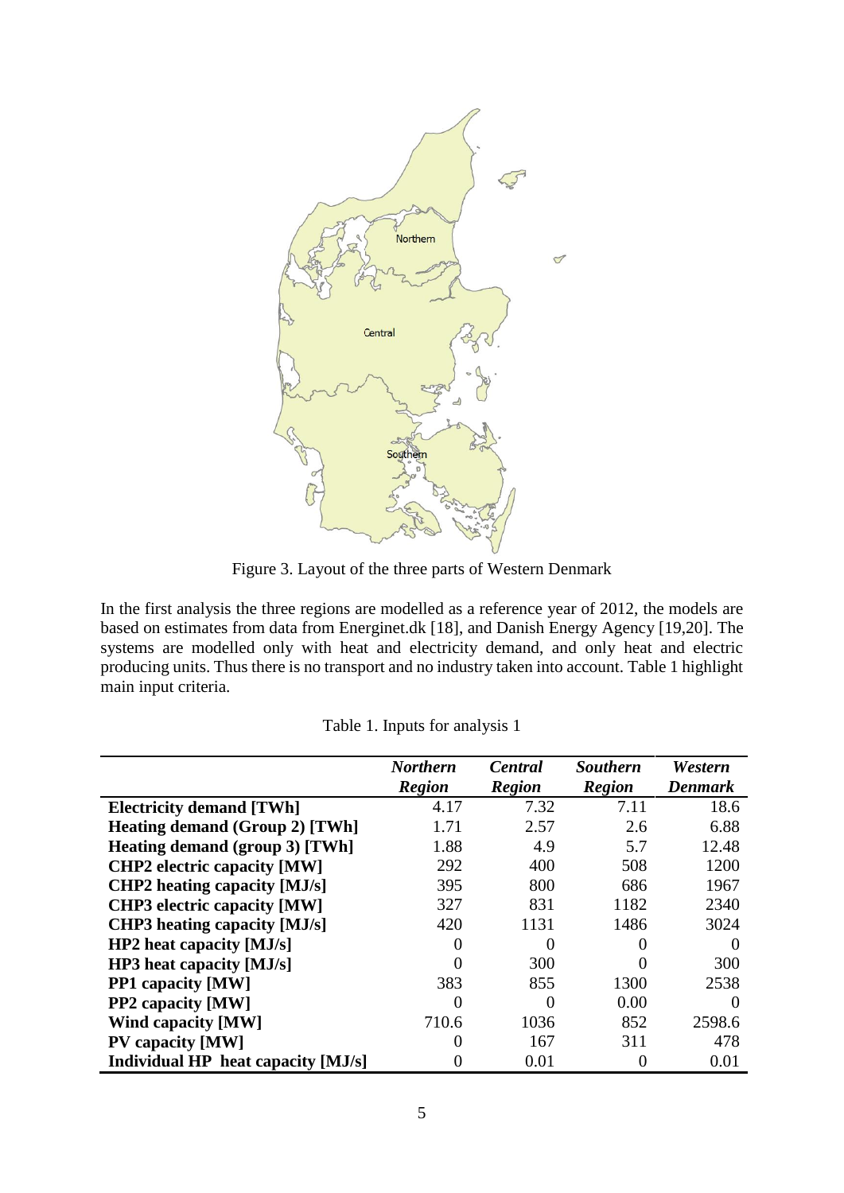

Figure 3. Layout of the three parts of Western Denmark

In the first analysis the three regions are modelled as a reference year of 2012, the models are based on estimates from data from Energinet.dk [18], and Danish Energy Agency [19,20]. The systems are modelled only with heat and electricity demand, and only heat and electric producing units. Thus there is no transport and no industry taken into account. Table 1 highlight main input criteria.

|                                       | <b>Northern</b>   | Central       | <b>Southern</b> | Western        |
|---------------------------------------|-------------------|---------------|-----------------|----------------|
|                                       | <b>Region</b>     | <b>Region</b> | <b>Region</b>   | <b>Denmark</b> |
| <b>Electricity demand [TWh]</b>       | 4.17              | 7.32          | 7.11            | 18.6           |
| <b>Heating demand (Group 2) [TWh]</b> | 1.71              | 2.57          | 2.6             | 6.88           |
| Heating demand (group 3) [TWh]        | 1.88              | 4.9           | 5.7             | 12.48          |
| <b>CHP2</b> electric capacity [MW]    | 292               | 400           | 508             | 1200           |
| <b>CHP2</b> heating capacity [MJ/s]   | 395               | 800           | 686             | 1967           |
| <b>CHP3</b> electric capacity [MW]    | 327               | 831           | 1182            | 2340           |
| <b>CHP3</b> heating capacity [MJ/s]   | 420               | 1131          | 1486            | 3024           |
| $HP2$ heat capacity [MJ/s]            |                   | 0             |                 | $\theta$       |
| $HP3$ heat capacity [MJ/s]            |                   | 300           |                 | 300            |
| <b>PP1</b> capacity [MW]              | 383               | 855           | 1300            | 2538           |
| <b>PP2</b> capacity [MW]              | $\mathbf{\Omega}$ | 0             | 0.00            | $\Omega$       |
| <b>Wind capacity [MW]</b>             | 710.6             | 1036          | 852             | 2598.6         |
| <b>PV</b> capacity [MW]               | $\mathbf{0}$      | 167           | 311             | 478            |
| Individual HP heat capacity [MJ/s]    |                   | 0.01          |                 | 0.01           |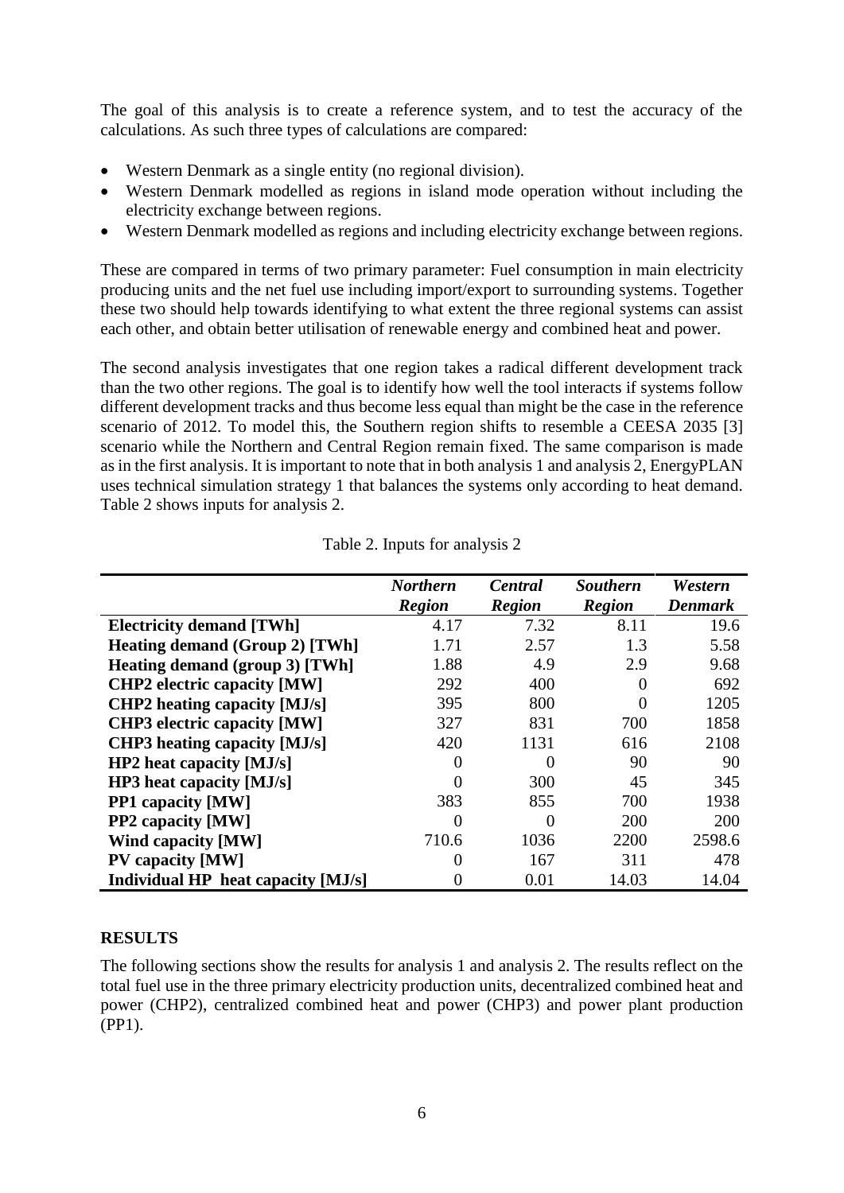The goal of this analysis is to create a reference system, and to test the accuracy of the calculations. As such three types of calculations are compared:

- Western Denmark as a single entity (no regional division).
- Western Denmark modelled as regions in island mode operation without including the electricity exchange between regions.
- Western Denmark modelled as regions and including electricity exchange between regions.

These are compared in terms of two primary parameter: Fuel consumption in main electricity producing units and the net fuel use including import/export to surrounding systems. Together these two should help towards identifying to what extent the three regional systems can assist each other, and obtain better utilisation of renewable energy and combined heat and power.

The second analysis investigates that one region takes a radical different development track than the two other regions. The goal is to identify how well the tool interacts if systems follow different development tracks and thus become less equal than might be the case in the reference scenario of 2012. To model this, the Southern region shifts to resemble a CEESA 2035 [3] scenario while the Northern and Central Region remain fixed. The same comparison is made as in the first analysis. It is important to note that in both analysis 1 and analysis 2, EnergyPLAN uses technical simulation strategy 1 that balances the systems only according to heat demand. Table 2 shows inputs for analysis 2.

|                                       | <b>Northern</b> | Central       | <b>Southern</b> | Western        |
|---------------------------------------|-----------------|---------------|-----------------|----------------|
|                                       | <b>Region</b>   | <b>Region</b> | <b>Region</b>   | <b>Denmark</b> |
| <b>Electricity demand [TWh]</b>       | 4.17            | 7.32          | 8.11            | 19.6           |
| <b>Heating demand (Group 2) [TWh]</b> | 1.71            | 2.57          | 1.3             | 5.58           |
| Heating demand (group 3) [TWh]        | 1.88            | 4.9           | 2.9             | 9.68           |
| <b>CHP2</b> electric capacity [MW]    | 292             | 400           |                 | 692            |
| <b>CHP2</b> heating capacity [MJ/s]   | 395             | 800           | 0               | 1205           |
| <b>CHP3</b> electric capacity [MW]    | 327             | 831           | 700             | 1858           |
| <b>CHP3</b> heating capacity [MJ/s]   | 420             | 1131          | 616             | 2108           |
| $HP2$ heat capacity [MJ/s]            |                 | $\theta$      | 90              | 90             |
| HP3 heat capacity [MJ/s]              |                 | 300           | 45              | 345            |
| <b>PP1</b> capacity [MW]              | 383             | 855           | 700             | 1938           |
| <b>PP2</b> capacity [MW]              | $\mathcal{O}$   | $\Omega$      | 200             | 200            |
| Wind capacity [MW]                    | 710.6           | 1036          | 2200            | 2598.6         |
| <b>PV</b> capacity [MW]               | $\Omega$        | 167           | 311             | 478            |
| Individual HP heat capacity [MJ/s]    | $\mathbf{0}$    | 0.01          | 14.03           | 14.04          |

Table 2. Inputs for analysis 2

## **RESULTS**

The following sections show the results for analysis 1 and analysis 2. The results reflect on the total fuel use in the three primary electricity production units, decentralized combined heat and power (CHP2), centralized combined heat and power (CHP3) and power plant production (PP1).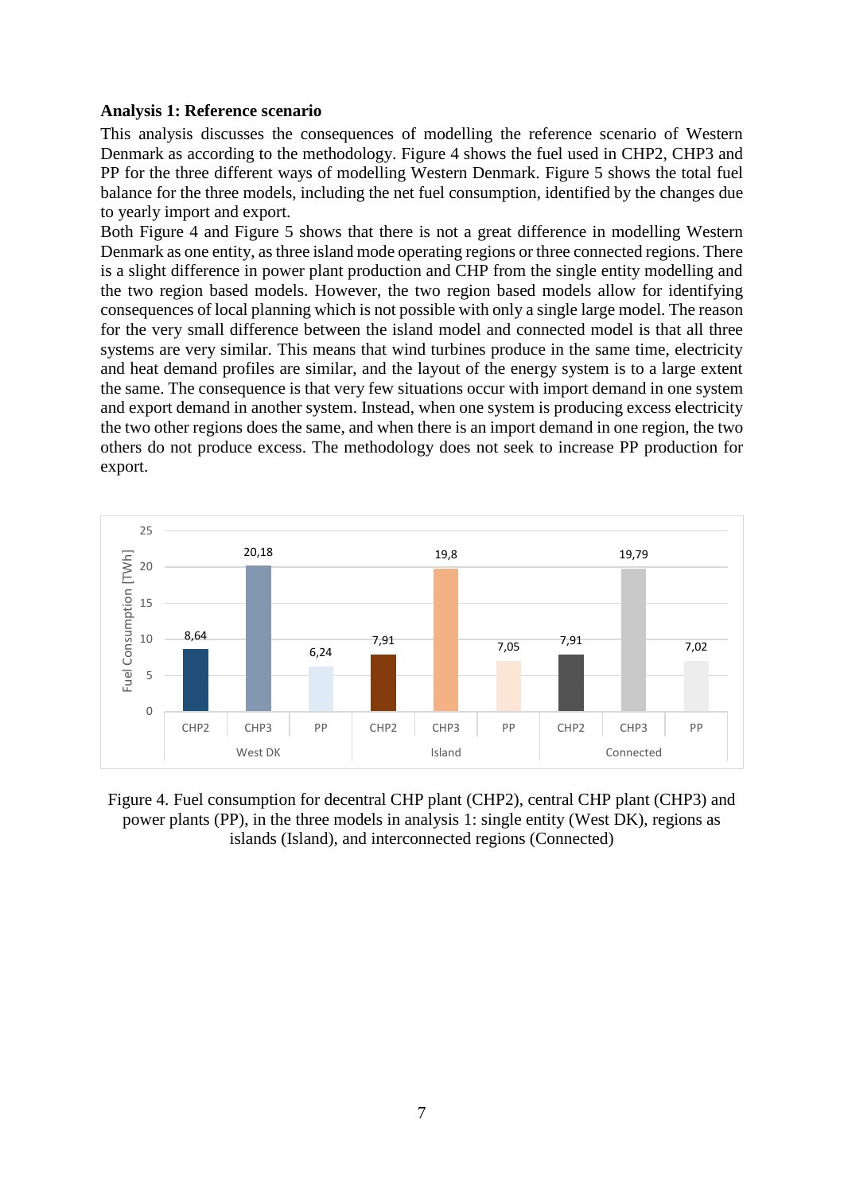### **Analysis 1: Reference scenario**

This analysis discusses the consequences of modelling the reference scenario of Western Denmark as according to the methodology. Figure 4 shows the fuel used in CHP2, CHP3 and PP for the three different ways of modelling Western Denmark. Figure 5 shows the total fuel balance for the three models, including the net fuel consumption, identified by the changes due to yearly import and export.

Both Figure 4 and Figure 5 shows that there is not a great difference in modelling Western Denmark as one entity, as three island mode operating regions or three connected regions. There is a slight difference in power plant production and CHP from the single entity modelling and the two region based models. However, the two region based models allow for identifying consequences of local planning which is not possible with only a single large model. The reason for the very small difference between the island model and connected model is that all three systems are very similar. This means that wind turbines produce in the same time, electricity and heat demand profiles are similar, and the layout of the energy system is to a large extent the same. The consequence is that very few situations occur with import demand in one system and export demand in another system. Instead, when one system is producing excess electricity the two other regions does the same, and when there is an import demand in one region, the two others do not produce excess. The methodology does not seek to increase PP production for export.



Figure 4. Fuel consumption for decentral CHP plant (CHP2), central CHP plant (CHP3) and power plants (PP), in the three models in analysis 1: single entity (West DK), regions as islands (Island), and interconnected regions (Connected)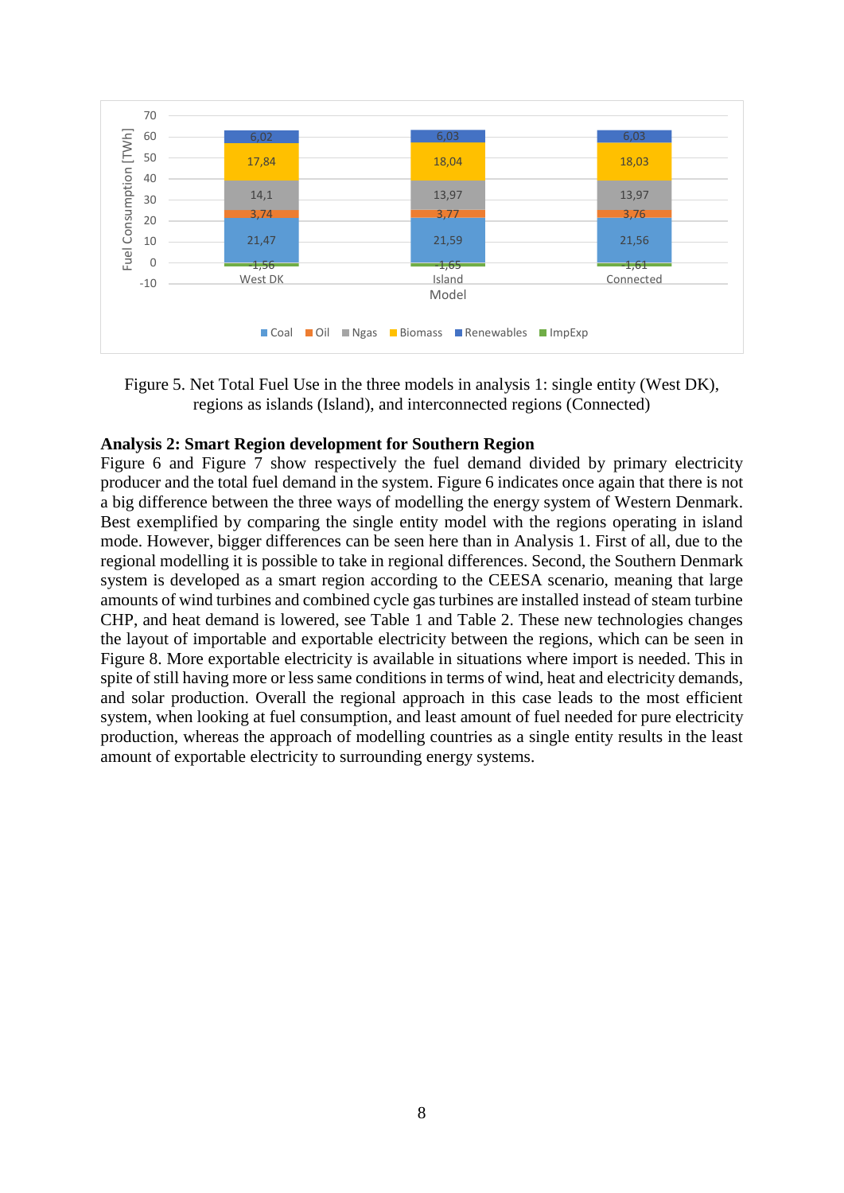

Figure 5. Net Total Fuel Use in the three models in analysis 1: single entity (West DK), regions as islands (Island), and interconnected regions (Connected)

#### **Analysis 2: Smart Region development for Southern Region**

Figure 6 and Figure 7 show respectively the fuel demand divided by primary electricity producer and the total fuel demand in the system. Figure 6 indicates once again that there is not a big difference between the three ways of modelling the energy system of Western Denmark. Best exemplified by comparing the single entity model with the regions operating in island mode. However, bigger differences can be seen here than in Analysis 1. First of all, due to the regional modelling it is possible to take in regional differences. Second, the Southern Denmark system is developed as a smart region according to the CEESA scenario, meaning that large amounts of wind turbines and combined cycle gas turbines are installed instead of steam turbine CHP, and heat demand is lowered, see Table 1 and Table 2. These new technologies changes the layout of importable and exportable electricity between the regions, which can be seen in Figure 8. More exportable electricity is available in situations where import is needed. This in spite of still having more or less same conditions in terms of wind, heat and electricity demands, and solar production. Overall the regional approach in this case leads to the most efficient system, when looking at fuel consumption, and least amount of fuel needed for pure electricity production, whereas the approach of modelling countries as a single entity results in the least amount of exportable electricity to surrounding energy systems.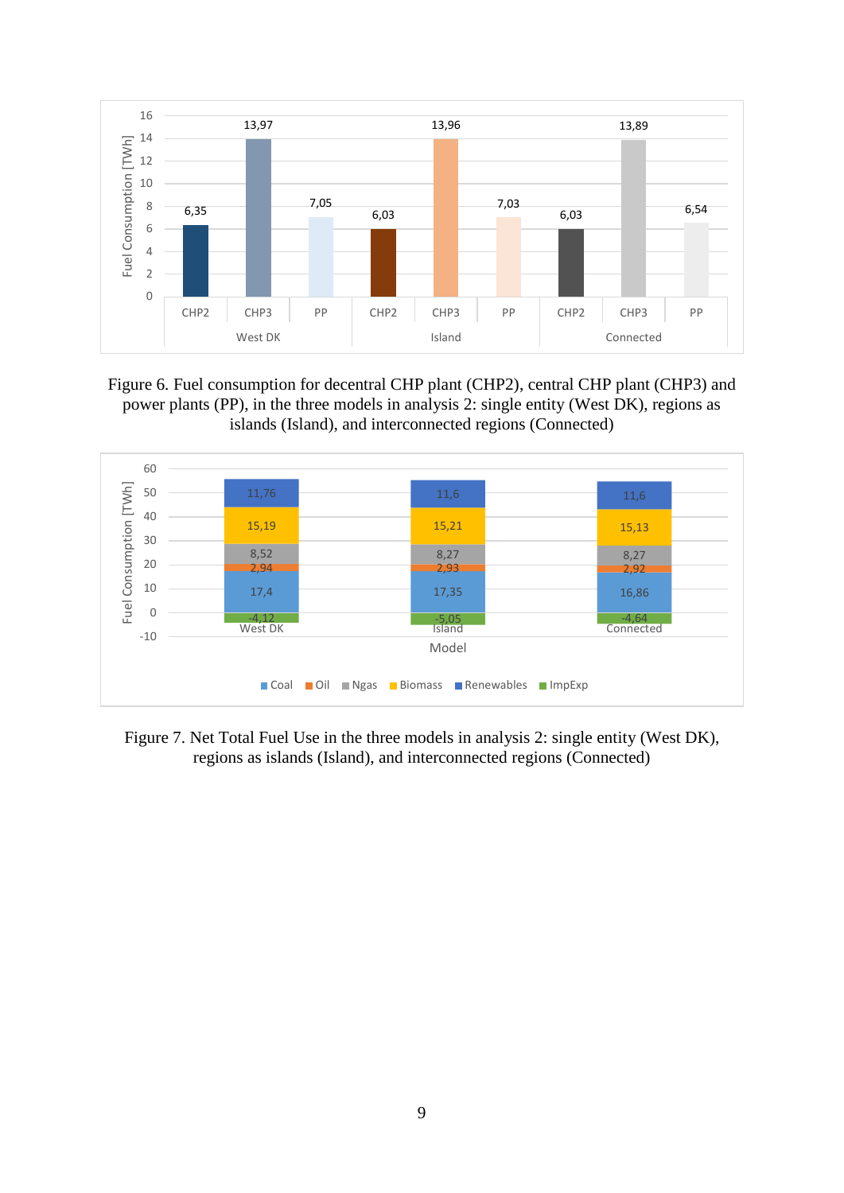

Figure 6. Fuel consumption for decentral CHP plant (CHP2), central CHP plant (CHP3) and power plants (PP), in the three models in analysis 2: single entity (West DK), regions as islands (Island), and interconnected regions (Connected)



Figure 7. Net Total Fuel Use in the three models in analysis 2: single entity (West DK), regions as islands (Island), and interconnected regions (Connected)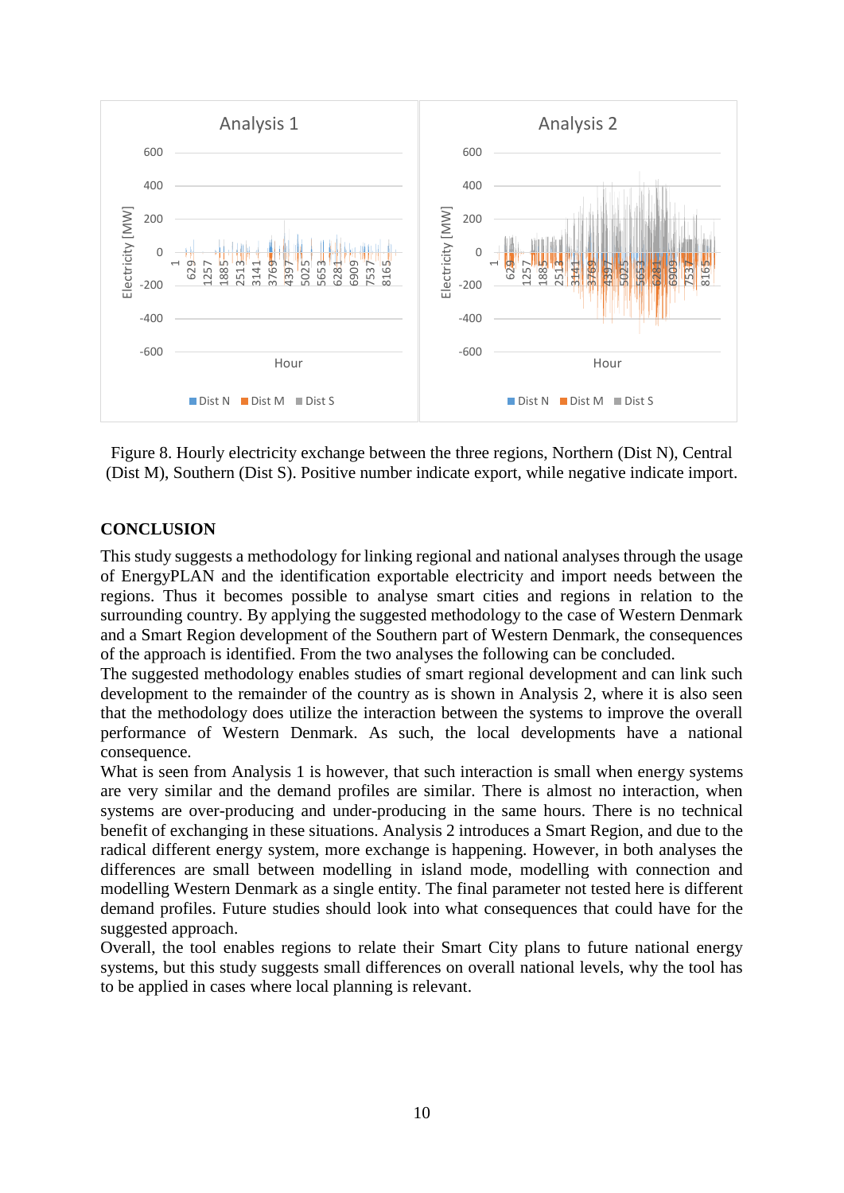

Figure 8. Hourly electricity exchange between the three regions, Northern (Dist N), Central (Dist M), Southern (Dist S). Positive number indicate export, while negative indicate import.

### **CONCLUSION**

This study suggests a methodology for linking regional and national analyses through the usage of EnergyPLAN and the identification exportable electricity and import needs between the regions. Thus it becomes possible to analyse smart cities and regions in relation to the surrounding country. By applying the suggested methodology to the case of Western Denmark and a Smart Region development of the Southern part of Western Denmark, the consequences of the approach is identified. From the two analyses the following can be concluded.

The suggested methodology enables studies of smart regional development and can link such development to the remainder of the country as is shown in Analysis 2, where it is also seen that the methodology does utilize the interaction between the systems to improve the overall performance of Western Denmark. As such, the local developments have a national consequence.

What is seen from Analysis 1 is however, that such interaction is small when energy systems are very similar and the demand profiles are similar. There is almost no interaction, when systems are over-producing and under-producing in the same hours. There is no technical benefit of exchanging in these situations. Analysis 2 introduces a Smart Region, and due to the radical different energy system, more exchange is happening. However, in both analyses the differences are small between modelling in island mode, modelling with connection and modelling Western Denmark as a single entity. The final parameter not tested here is different demand profiles. Future studies should look into what consequences that could have for the suggested approach.

Overall, the tool enables regions to relate their Smart City plans to future national energy systems, but this study suggests small differences on overall national levels, why the tool has to be applied in cases where local planning is relevant.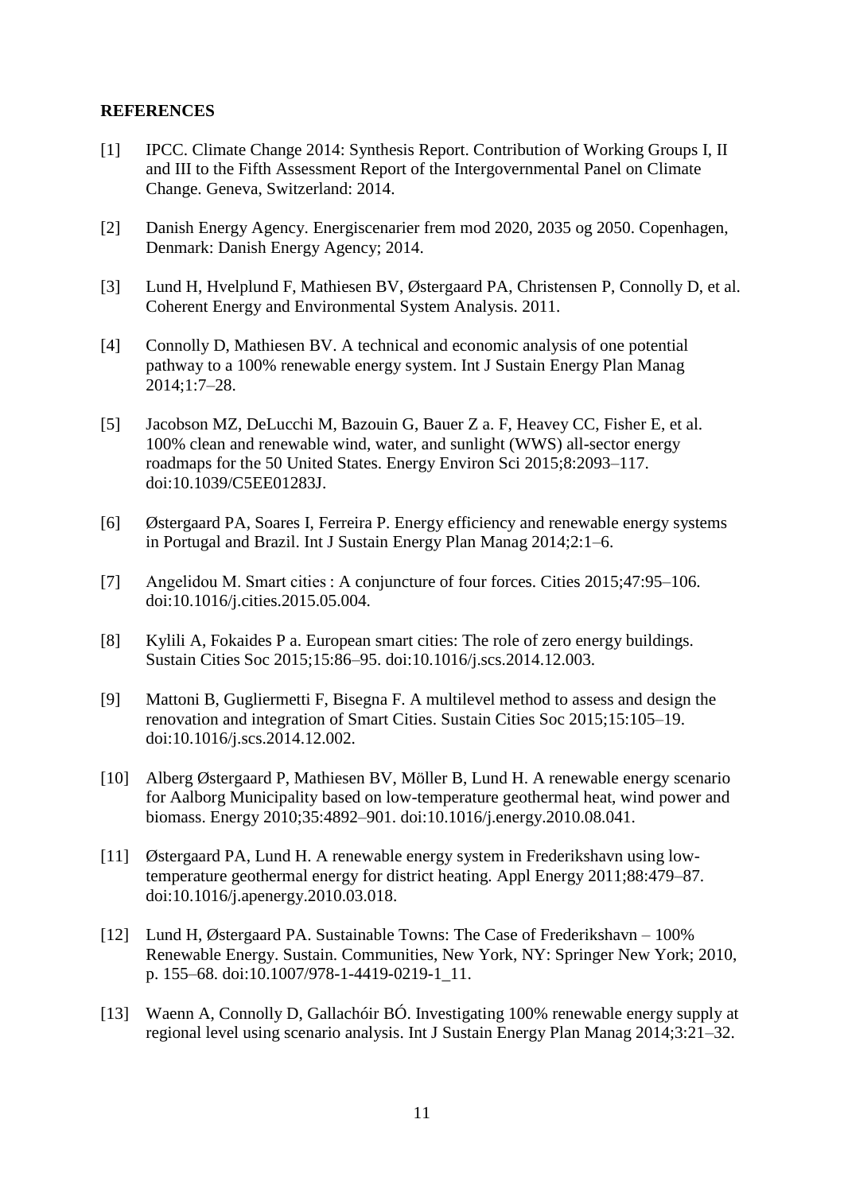#### **REFERENCES**

- [1] IPCC. Climate Change 2014: Synthesis Report. Contribution of Working Groups I, II and III to the Fifth Assessment Report of the Intergovernmental Panel on Climate Change. Geneva, Switzerland: 2014.
- [2] Danish Energy Agency. Energiscenarier frem mod 2020, 2035 og 2050. Copenhagen, Denmark: Danish Energy Agency; 2014.
- [3] Lund H, Hvelplund F, Mathiesen BV, Østergaard PA, Christensen P, Connolly D, et al. Coherent Energy and Environmental System Analysis. 2011.
- [4] Connolly D, Mathiesen BV. A technical and economic analysis of one potential pathway to a 100% renewable energy system. Int J Sustain Energy Plan Manag 2014;1:7–28.
- [5] Jacobson MZ, DeLucchi M, Bazouin G, Bauer Z a. F, Heavey CC, Fisher E, et al. 100% clean and renewable wind, water, and sunlight (WWS) all-sector energy roadmaps for the 50 United States. Energy Environ Sci 2015;8:2093–117. doi:10.1039/C5EE01283J.
- [6] Østergaard PA, Soares I, Ferreira P. Energy efficiency and renewable energy systems in Portugal and Brazil. Int J Sustain Energy Plan Manag 2014;2:1–6.
- [7] Angelidou M. Smart cities : A conjuncture of four forces. Cities 2015;47:95–106. doi:10.1016/j.cities.2015.05.004.
- [8] Kylili A, Fokaides P a. European smart cities: The role of zero energy buildings. Sustain Cities Soc 2015;15:86–95. doi:10.1016/j.scs.2014.12.003.
- [9] Mattoni B, Gugliermetti F, Bisegna F. A multilevel method to assess and design the renovation and integration of Smart Cities. Sustain Cities Soc 2015;15:105–19. doi:10.1016/j.scs.2014.12.002.
- [10] Alberg Østergaard P, Mathiesen BV, Möller B, Lund H. A renewable energy scenario for Aalborg Municipality based on low-temperature geothermal heat, wind power and biomass. Energy 2010;35:4892–901. doi:10.1016/j.energy.2010.08.041.
- [11] Østergaard PA, Lund H. A renewable energy system in Frederikshavn using lowtemperature geothermal energy for district heating. Appl Energy 2011;88:479–87. doi:10.1016/j.apenergy.2010.03.018.
- [12] Lund H, Østergaard PA. Sustainable Towns: The Case of Frederikshavn 100% Renewable Energy. Sustain. Communities, New York, NY: Springer New York; 2010, p. 155–68. doi:10.1007/978-1-4419-0219-1\_11.
- [13] Waenn A, Connolly D, Gallachóir BÓ. Investigating 100% renewable energy supply at regional level using scenario analysis. Int J Sustain Energy Plan Manag 2014;3:21–32.